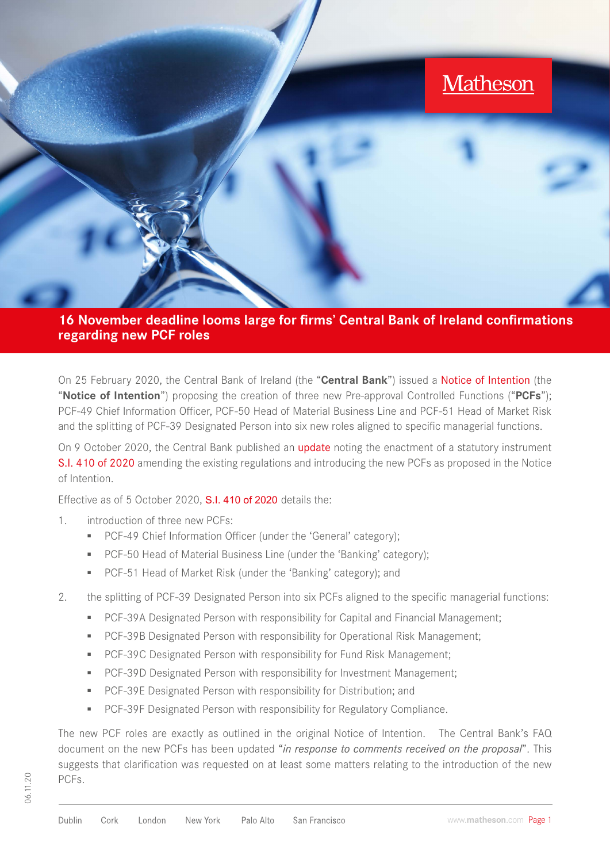

**16 November deadline looms large for firms' Central Bank of Ireland confirmations regarding new PCF roles**

On 25 February 2020, the Central Bank of Ireland (the "**Central Bank**") issued a [Notice of Intention](https://www.centralbank.ie/docs/default-source/regulation/how-we-regulate/fitness-probity/news/notice-of-intention---additions-to-the-list-of-pcfs-february-2020.pdf) (the "**Notice of Intention**") proposing the creation of three new Pre-approval Controlled Functions ("**PCFs**"); PCF-49 Chief Information Officer, PCF-50 Head of Material Business Line and PCF-51 Head of Market Risk and the splitting of PCF-39 Designated Person into six new roles aligned to specific managerial functions.

On 9 October 2020, the Central Bank published an **[update](https://www.centralbank.ie/docs/default-source/regulation/how-we-regulate/fitness-probity/regulated-financial-service-providers/regulated-financial-service-providers/additions-to-the-list-of-pcfs-october-2020.pdf?sfvrsn=4)** noting the enactment of a statutory instrument [S.I. 410 of 2020](https://www.centralbank.ie/docs/default-source/regulation/how-we-regulate/fitness-probity/regulated-financial-service-providers/regulated-financial-service-providers/si-410-of-2020.pdf?sfvrsn=4) amending the existing regulations and introducing the new PCFs as proposed in the Notice of Intention.

Effective as of 5 October 2020, [S.I. 410 of 2020](https://www.centralbank.ie/docs/default-source/regulation/how-we-regulate/fitness-probity/regulated-financial-service-providers/regulated-financial-service-providers/si-410-of-2020.pdf?sfvrsn=4) details the:

- 1. introduction of three new PCFs:
	- PCF-49 Chief Information Officer (under the 'General' category);
	- PCF-50 Head of Material Business Line (under the 'Banking' category);
	- **▪** PCF-51 Head of Market Risk (under the 'Banking' category); and
- 2. the splitting of PCF-39 Designated Person into six PCFs aligned to the specific managerial functions:
	- **PCF-39A Designated Person with responsibility for Capital and Financial Management;**
	- **▪** PCF-39B Designated Person with responsibility for Operational Risk Management;
	- **▪** PCF-39C Designated Person with responsibility for Fund Risk Management;
	- **PCF-39D Designated Person with responsibility for Investment Management;**
	- **▪** PCF-39E Designated Person with responsibility for Distribution; and
	- PCF-39F Designated Person with responsibility for Regulatory Compliance.

The new PCF roles are exactly as outlined in the original Notice of Intention. The Central Bank's FAQ document on the new PCFs has been updated "*in response to comments received on the proposal*". This suggests that clarification was requested on at least some matters relating to the introduction of the new PCFs.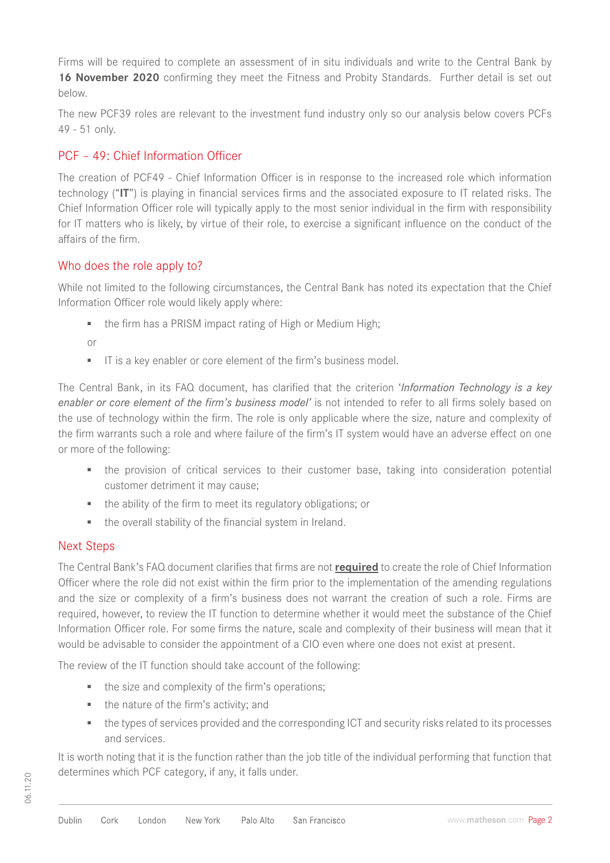Firms will be required to complete an assessment of in situ individuals and write to the Central Bank by 16 November 2020 confirming they meet the Fitness and Probity Standards. Further detail is set out below.

The new PCF39 roles are relevant to the investment fund industry only so our analysis below covers PCFs 49 - 51 only.

# PCF – 49: Chief Information Officer

The creation of PCF49 - Chief Information Officer is in response to the increased role which information technology ("**IT**") is playing in financial services firms and the associated exposure to IT related risks. The Chief Information Officer role will typically apply to the most senior individual in the firm with responsibility for IT matters who is likely, by virtue of their role, to exercise a significant influence on the conduct of the affairs of the firm.

# Who does the role apply to?

While not limited to the following circumstances, the Central Bank has noted its expectation that the Chief Information Officer role would likely apply where:

■ the firm has a PRISM impact rating of High or Medium High:

or

**▪** IT is a key enabler or core element of the firm's business model.

The Central Bank, in its FAQ document, has clarified that the criterion '*Information Technology is a key enabler or core element of the firm's business model'* is not intended to refer to all firms solely based on the use of technology within the firm. The role is only applicable where the size, nature and complexity of the firm warrants such a role and where failure of the firm's IT system would have an adverse effect on one or more of the following:

- the provision of critical services to their customer base, taking into consideration potential customer detriment it may cause;
- **▪** the ability of the firm to meet its regulatory obligations; or
- **▪** the overall stability of the financial system in Ireland.

# Next Steps

The Central Bank's FAQ document clarifies that firms are not **required** to create the role of Chief Information Officer where the role did not exist within the firm prior to the implementation of the amending regulations and the size or complexity of a firm's business does not warrant the creation of such a role. Firms are required, however, to review the IT function to determine whether it would meet the substance of the Chief Information Officer role. For some firms the nature, scale and complexity of their business will mean that it would be advisable to consider the appointment of a CIO even where one does not exist at present.

The review of the IT function should take account of the following:

- the size and complexity of the firm's operations;
- the nature of the firm's activity; and
- the types of services provided and the corresponding ICT and security risks related to its processes and services.

It is worth noting that it is the function rather than the job title of the individual performing that function that determines which PCF category, if any, it falls under.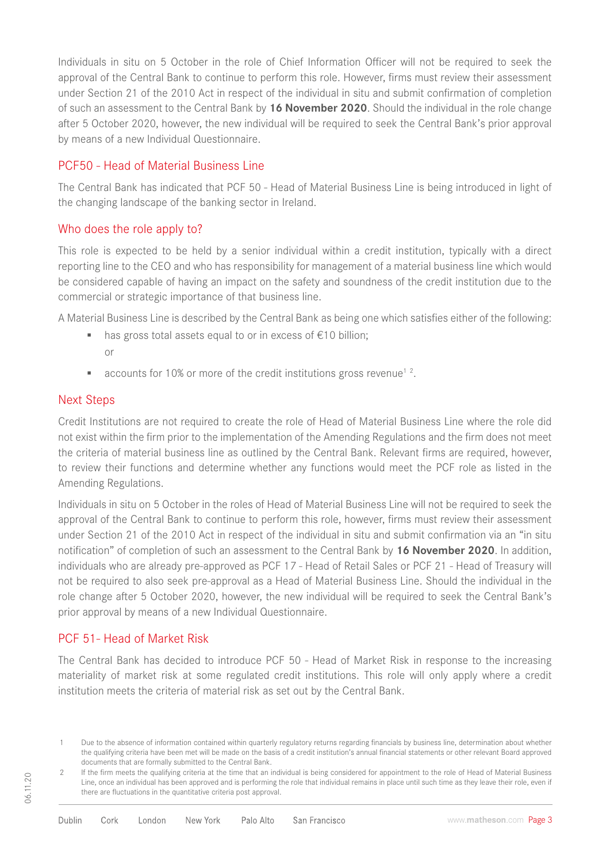Individuals in situ on 5 October in the role of Chief Information Officer will not be required to seek the approval of the Central Bank to continue to perform this role. However, firms must review their assessment under Section 21 of the 2010 Act in respect of the individual in situ and submit confirmation of completion of such an assessment to the Central Bank by **16 November 2020**. Should the individual in the role change after 5 October 2020, however, the new individual will be required to seek the Central Bank's prior approval by means of a new Individual Questionnaire.

### PCF50 - Head of Material Business Line

The Central Bank has indicated that PCF 50 - Head of Material Business Line is being introduced in light of the changing landscape of the banking sector in Ireland.

#### Who does the role apply to?

This role is expected to be held by a senior individual within a credit institution, typically with a direct reporting line to the CEO and who has responsibility for management of a material business line which would be considered capable of having an impact on the safety and soundness of the credit institution due to the commercial or strategic importance of that business line.

A Material Business Line is described by the Central Bank as being one which satisfies either of the following:

- has gross total assets equal to or in excess of €10 billion; or
- accounts for 10% or more of the credit institutions gross revenue<sup>1</sup><sup>2</sup>.

#### Next Steps

Credit Institutions are not required to create the role of Head of Material Business Line where the role did not exist within the firm prior to the implementation of the Amending Regulations and the firm does not meet the criteria of material business line as outlined by the Central Bank. Relevant firms are required, however, to review their functions and determine whether any functions would meet the PCF role as listed in the Amending Regulations.

Individuals in situ on 5 October in the roles of Head of Material Business Line will not be required to seek the approval of the Central Bank to continue to perform this role, however, firms must review their assessment under Section 21 of the 2010 Act in respect of the individual in situ and submit confirmation via an "in situ notification" of completion of such an assessment to the Central Bank by **16 November 2020**. In addition, individuals who are already pre-approved as PCF 17 - Head of Retail Sales or PCF 21 - Head of Treasury will not be required to also seek pre-approval as a Head of Material Business Line. Should the individual in the role change after 5 October 2020, however, the new individual will be required to seek the Central Bank's prior approval by means of a new Individual Questionnaire.

# PCF 51- Head of Market Risk

The Central Bank has decided to introduce PCF 50 - Head of Market Risk in response to the increasing materiality of market risk at some regulated credit institutions. This role will only apply where a credit institution meets the criteria of material risk as set out by the Central Bank.

<sup>1</sup> Due to the absence of information contained within quarterly regulatory returns regarding financials by business line, determination about whether the qualifying criteria have been met will be made on the basis of a credit institution's annual financial statements or other relevant Board approved documents that are formally submitted to the Central Bank.

<sup>2</sup> If the firm meets the qualifying criteria at the time that an individual is being considered for appointment to the role of Head of Material Business Line, once an individual has been approved and is performing the role that individual remains in place until such time as they leave their role, even if there are fluctuations in the quantitative criteria post approval.